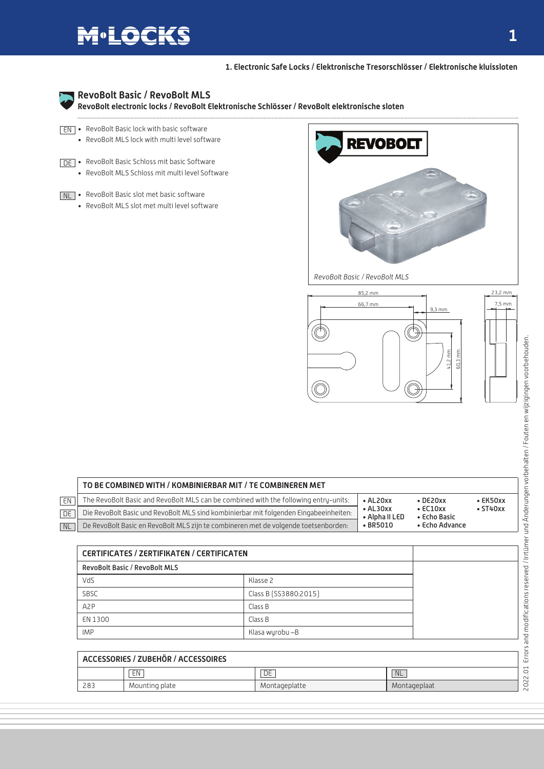## **M**<sup>.</sup>LOCKS

**1. Electronic Safe Locks / Elektronische Tresorschlösser / Elektronische kluissloten**



## **RevoBolt Basic / RevoBolt MLS**

**RevoBolt electronic locks / RevoBolt Elektronische Schlösser / RevoBolt elektronische sloten**

- $\overline{\text{EN}}$  RevoBolt Basic lock with basic software • RevoBolt MLS lock with multi level software
- DE RevoBolt Basic Schloss mit basic Software • RevoBolt MLS Schloss mit multi level Software

#### NL • RevoBolt Basic slot met basic software

• RevoBolt MLS slot met multi level software





|                          | TO BE COMBINED WITH / KOMBINIERBAR MIT / TE COMBINEREN MET                            |                                    |                                                                      |                                  |
|--------------------------|---------------------------------------------------------------------------------------|------------------------------------|----------------------------------------------------------------------|----------------------------------|
| EN                       | The RevoBolt Basic and RevoBolt MLS can be combined with the following entry-units:   | $\bullet$ AL20 $xx$                | $\bullet$ DE20xx<br>$\cdot$ EC10xx<br>• Echo Basic<br>• Echo Advance | $\cdot$ EK50xx<br>$\cdot$ ST40xx |
| $\overline{\mathsf{DE}}$ | Die RevoBolt Basic und RevoBolt MLS sind kombinierbar mit folgenden Eingabeeinheiten: | $\bullet$ AL30xx<br>• Alpha II LED |                                                                      |                                  |
| NL                       | De RevoBolt Basic en RevoBolt MLS zijn te combineren met de volgende toetsenborden:   | $\cdot$ BR5010                     |                                                                      |                                  |

| <b>CERTIFICATES / ZERTIFIKATEN / CERTIFICATEN</b> |                       |  |  |  |
|---------------------------------------------------|-----------------------|--|--|--|
| <b>RevoBolt Basic / RevoBolt MLS</b>              |                       |  |  |  |
| VdS                                               | Klasse 2              |  |  |  |
| SBSC                                              | Class B [SS3880:2015] |  |  |  |
| A <sub>2</sub> P                                  | Class B               |  |  |  |
| EN 1300                                           | Class B               |  |  |  |
| <b>IMP</b>                                        | Klasa wyrobu -B       |  |  |  |

| ACCESSORIES / ZUBEHÖR / ACCESSOIRES |                |                 |              |  |  |
|-------------------------------------|----------------|-----------------|--------------|--|--|
|                                     | EN             | $\overline{DE}$ | <b>NL</b>    |  |  |
| 283                                 | Mounting plate | Montageplatte   | Montageplaat |  |  |